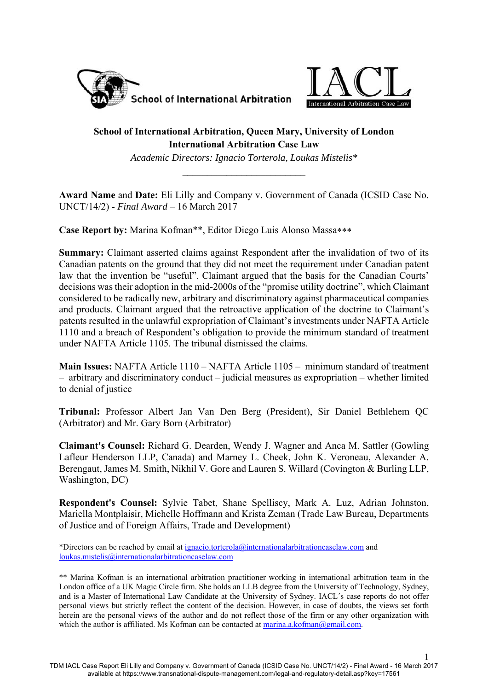



1

# **School of International Arbitration, Queen Mary, University of London International Arbitration Case Law**

*Academic Directors: Ignacio Torterola, Loukas Mistelis\** 

**Award Name** and **Date:** Eli Lilly and Company v. Government of Canada (ICSID Case No. UNCT/14/2) - *Final Award* – 16 March 2017

**Case Report by:** Marina Kofman\*\*, Editor Diego Luis Alonso Massa

**Summary:** Claimant asserted claims against Respondent after the invalidation of two of its Canadian patents on the ground that they did not meet the requirement under Canadian patent law that the invention be "useful". Claimant argued that the basis for the Canadian Courts' decisions was their adoption in the mid-2000s of the "promise utility doctrine", which Claimant considered to be radically new, arbitrary and discriminatory against pharmaceutical companies and products. Claimant argued that the retroactive application of the doctrine to Claimant's patents resulted in the unlawful expropriation of Claimant's investments under NAFTA Article 1110 and a breach of Respondent's obligation to provide the minimum standard of treatment under NAFTA Article 1105. The tribunal dismissed the claims.

**Main Issues:** NAFTA Article 1110 – NAFTA Article 1105 – minimum standard of treatment – arbitrary and discriminatory conduct – judicial measures as expropriation – whether limited to denial of justice

**Tribunal:** Professor Albert Jan Van Den Berg (President), Sir Daniel Bethlehem QC (Arbitrator) and Mr. Gary Born (Arbitrator)

**Claimant's Counsel:** Richard G. Dearden, Wendy J. Wagner and Anca M. Sattler (Gowling Lafleur Henderson LLP, Canada) and Marney L. Cheek, John K. Veroneau, Alexander A. Berengaut, James M. Smith, Nikhil V. Gore and Lauren S. Willard (Covington & Burling LLP, Washington, DC)

**Respondent's Counsel:** Sylvie Tabet, Shane Spelliscy, Mark A. Luz, Adrian Johnston, Mariella Montplaisir, Michelle Hoffmann and Krista Zeman (Trade Law Bureau, Departments of Justice and of Foreign Affairs, Trade and Development)

\*Directors can be reached by email at ignacio.torterola@internationalarbitrationcaselaw.com and loukas.mistelis@internationalarbitrationcaselaw.com

\*\* Marina Kofman is an international arbitration practitioner working in international arbitration team in the London office of a UK Magic Circle firm. She holds an LLB degree from the University of Technology, Sydney, and is a Master of International Law Candidate at the University of Sydney. IACL´s case reports do not offer personal views but strictly reflect the content of the decision. However, in case of doubts, the views set forth herein are the personal views of the author and do not reflect those of the firm or any other organization with which the author is affiliated. Ms Kofman can be contacted at marina.a.kofman@gmail.com.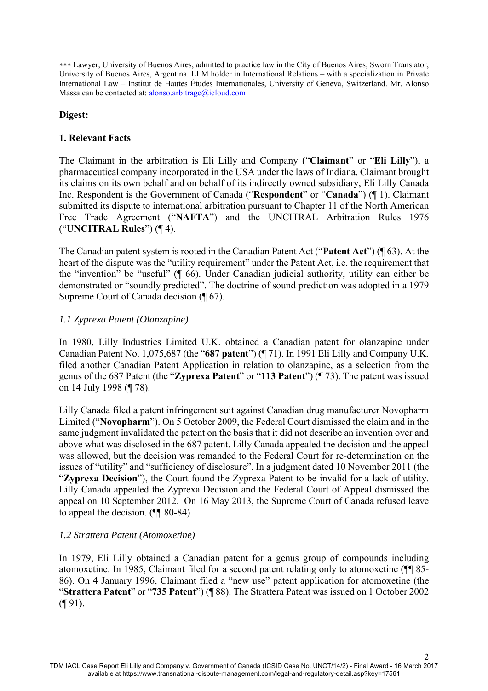Lawyer, University of Buenos Aires, admitted to practice law in the City of Buenos Aires; Sworn Translator, University of Buenos Aires, Argentina. LLM holder in International Relations – with a specialization in Private International Law – Institut de Hautes Études Internationales, University of Geneva, Switzerland. Mr. Alonso Massa can be contacted at: alonso.arbitrage@icloud.com

## **Digest:**

## **1. Relevant Facts**

The Claimant in the arbitration is Eli Lilly and Company ("**Claimant**" or "**Eli Lilly**"), a pharmaceutical company incorporated in the USA under the laws of Indiana. Claimant brought its claims on its own behalf and on behalf of its indirectly owned subsidiary, Eli Lilly Canada Inc. Respondent is the Government of Canada ("**Respondent**" or "**Canada**") (¶ 1). Claimant submitted its dispute to international arbitration pursuant to Chapter 11 of the North American Free Trade Agreement ("**NAFTA**") and the UNCITRAL Arbitration Rules 1976 ("**UNCITRAL Rules**") (¶ 4).

The Canadian patent system is rooted in the Canadian Patent Act ("**Patent Act**") (¶ 63). At the heart of the dispute was the "utility requirement" under the Patent Act, i.e. the requirement that the "invention" be "useful" (¶ 66). Under Canadian judicial authority, utility can either be demonstrated or "soundly predicted". The doctrine of sound prediction was adopted in a 1979 Supreme Court of Canada decision (¶ 67).

## *1.1 Zyprexa Patent (Olanzapine)*

In 1980, Lilly Industries Limited U.K. obtained a Canadian patent for olanzapine under Canadian Patent No. 1,075,687 (the "**687 patent**") (¶ 71). In 1991 Eli Lilly and Company U.K. filed another Canadian Patent Application in relation to olanzapine, as a selection from the genus of the 687 Patent (the "**Zyprexa Patent**" or "**113 Patent**") (¶ 73). The patent was issued on 14 July 1998 (¶ 78).

Lilly Canada filed a patent infringement suit against Canadian drug manufacturer Novopharm Limited ("**Novopharm**"). On 5 October 2009, the Federal Court dismissed the claim and in the same judgment invalidated the patent on the basis that it did not describe an invention over and above what was disclosed in the 687 patent. Lilly Canada appealed the decision and the appeal was allowed, but the decision was remanded to the Federal Court for re-determination on the issues of "utility" and "sufficiency of disclosure". In a judgment dated 10 November 2011 (the "**Zyprexa Decision**"), the Court found the Zyprexa Patent to be invalid for a lack of utility. Lilly Canada appealed the Zyprexa Decision and the Federal Court of Appeal dismissed the appeal on 10 September 2012. On 16 May 2013, the Supreme Court of Canada refused leave to appeal the decision. (¶¶ 80-84)

## *1.2 Strattera Patent (Atomoxetine)*

In 1979, Eli Lilly obtained a Canadian patent for a genus group of compounds including atomoxetine. In 1985, Claimant filed for a second patent relating only to atomoxetine (¶¶ 85- 86). On 4 January 1996, Claimant filed a "new use" patent application for atomoxetine (the "**Strattera Patent**" or "**735 Patent**") (¶ 88). The Strattera Patent was issued on 1 October 2002  $($  [91).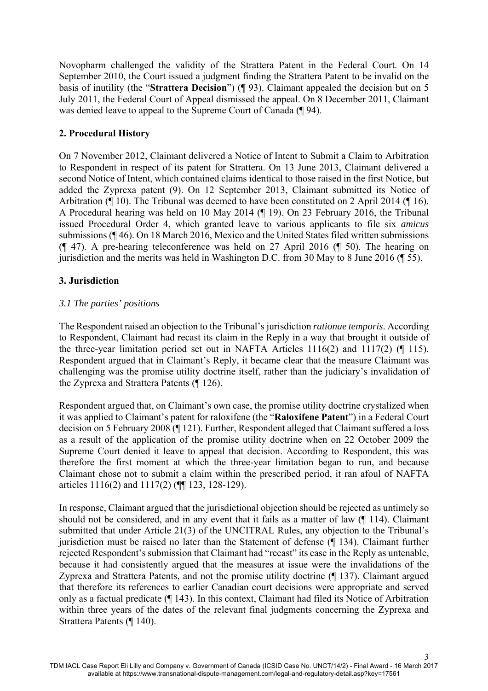Novopharm challenged the validity of the Strattera Patent in the Federal Court. On 14 September 2010, the Court issued a judgment finding the Strattera Patent to be invalid on the basis of inutility (the "**Strattera Decision**") (¶ 93). Claimant appealed the decision but on 5 July 2011, the Federal Court of Appeal dismissed the appeal. On 8 December 2011, Claimant was denied leave to appeal to the Supreme Court of Canada (¶ 94).

# **2. Procedural History**

On 7 November 2012, Claimant delivered a Notice of Intent to Submit a Claim to Arbitration to Respondent in respect of its patent for Strattera. On 13 June 2013, Claimant delivered a second Notice of Intent, which contained claims identical to those raised in the first Notice, but added the Zyprexa patent (9). On 12 September 2013, Claimant submitted its Notice of Arbitration (¶ 10). The Tribunal was deemed to have been constituted on 2 April 2014 (¶ 16). A Procedural hearing was held on 10 May 2014 (¶ 19). On 23 February 2016, the Tribunal issued Procedural Order 4, which granted leave to various applicants to file six *amicus*  submissions (¶ 46). On 18 March 2016, Mexico and the United States filed written submissions (¶ 47). A pre-hearing teleconference was held on 27 April 2016 (¶ 50). The hearing on jurisdiction and the merits was held in Washington D.C. from 30 May to 8 June 2016 (¶ 55).

# **3. Jurisdiction**

# *3.1 The parties' positions*

The Respondent raised an objection to the Tribunal's jurisdiction *rationae temporis*. According to Respondent, Claimant had recast its claim in the Reply in a way that brought it outside of the three-year limitation period set out in NAFTA Articles  $1116(2)$  and  $1117(2)$  (¶ 115). Respondent argued that in Claimant's Reply, it became clear that the measure Claimant was challenging was the promise utility doctrine itself, rather than the judiciary's invalidation of the Zyprexa and Strattera Patents (¶ 126).

Respondent argued that, on Claimant's own case, the promise utility doctrine crystalized when it was applied to Claimant's patent for raloxifene (the "**Raloxifene Patent**") in a Federal Court decision on 5 February 2008 (¶ 121). Further, Respondent alleged that Claimant suffered a loss as a result of the application of the promise utility doctrine when on 22 October 2009 the Supreme Court denied it leave to appeal that decision. According to Respondent, this was therefore the first moment at which the three-year limitation began to run, and because Claimant chose not to submit a claim within the prescribed period, it ran afoul of NAFTA articles 1116(2) and 1117(2) (¶¶ 123, 128-129).

In response, Claimant argued that the jurisdictional objection should be rejected as untimely so should not be considered, and in any event that it fails as a matter of law (¶ 114). Claimant submitted that under Article 21(3) of the UNCITRAL Rules, any objection to the Tribunal's jurisdiction must be raised no later than the Statement of defense (¶ 134). Claimant further rejected Respondent's submission that Claimant had "recast" its case in the Reply as untenable, because it had consistently argued that the measures at issue were the invalidations of the Zyprexa and Strattera Patents, and not the promise utility doctrine (¶ 137). Claimant argued that therefore its references to earlier Canadian court decisions were appropriate and served only as a factual predicate (¶ 143). In this context, Claimant had filed its Notice of Arbitration within three years of the dates of the relevant final judgments concerning the Zyprexa and Strattera Patents (¶ 140).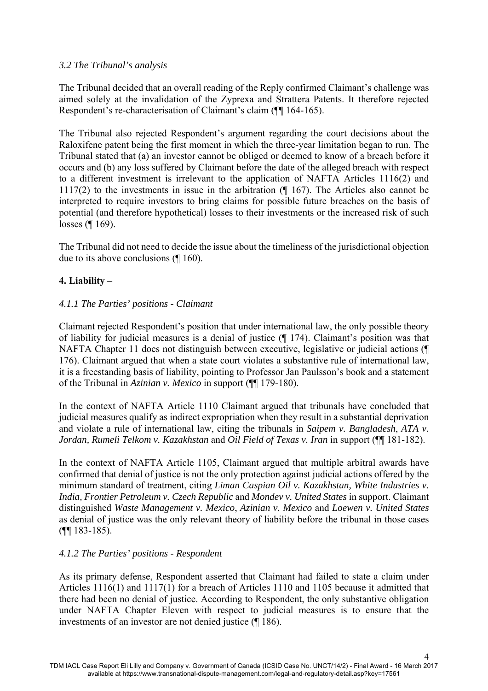### *3.2 The Tribunal's analysis*

The Tribunal decided that an overall reading of the Reply confirmed Claimant's challenge was aimed solely at the invalidation of the Zyprexa and Strattera Patents. It therefore rejected Respondent's re-characterisation of Claimant's claim (¶¶ 164-165).

The Tribunal also rejected Respondent's argument regarding the court decisions about the Raloxifene patent being the first moment in which the three-year limitation began to run. The Tribunal stated that (a) an investor cannot be obliged or deemed to know of a breach before it occurs and (b) any loss suffered by Claimant before the date of the alleged breach with respect to a different investment is irrelevant to the application of NAFTA Articles 1116(2) and 1117(2) to the investments in issue in the arbitration (¶ 167). The Articles also cannot be interpreted to require investors to bring claims for possible future breaches on the basis of potential (and therefore hypothetical) losses to their investments or the increased risk of such losses (¶ 169).

The Tribunal did not need to decide the issue about the timeliness of the jurisdictional objection due to its above conclusions (¶ 160).

## **4. Liability –**

### *4.1.1 The Parties' positions - Claimant*

Claimant rejected Respondent's position that under international law, the only possible theory of liability for judicial measures is a denial of justice (¶ 174). Claimant's position was that NAFTA Chapter 11 does not distinguish between executive, legislative or judicial actions (¶ 176). Claimant argued that when a state court violates a substantive rule of international law, it is a freestanding basis of liability, pointing to Professor Jan Paulsson's book and a statement of the Tribunal in *Azinian v. Mexico* in support (¶¶ 179-180).

In the context of NAFTA Article 1110 Claimant argued that tribunals have concluded that judicial measures qualify as indirect expropriation when they result in a substantial deprivation and violate a rule of international law, citing the tribunals in *Saipem v. Bangladesh*, *ATA v. Jordan, Rumeli Telkom v. Kazakhstan* and *Oil Field of Texas v. Iran* in support (¶¶ 181-182).

In the context of NAFTA Article 1105, Claimant argued that multiple arbitral awards have confirmed that denial of justice is not the only protection against judicial actions offered by the minimum standard of treatment, citing *Liman Caspian Oil v. Kazakhstan, White Industries v. India, Frontier Petroleum v. Czech Republic* and *Mondev v. United States* in support. Claimant distinguished *Waste Management v. Mexico*, *Azinian v. Mexico* and *Loewen v. United States* as denial of justice was the only relevant theory of liability before the tribunal in those cases (¶¶ 183-185).

#### *4.1.2 The Parties' positions - Respondent*

As its primary defense, Respondent asserted that Claimant had failed to state a claim under Articles 1116(1) and 1117(1) for a breach of Articles 1110 and 1105 because it admitted that there had been no denial of justice. According to Respondent, the only substantive obligation under NAFTA Chapter Eleven with respect to judicial measures is to ensure that the investments of an investor are not denied justice (¶ 186).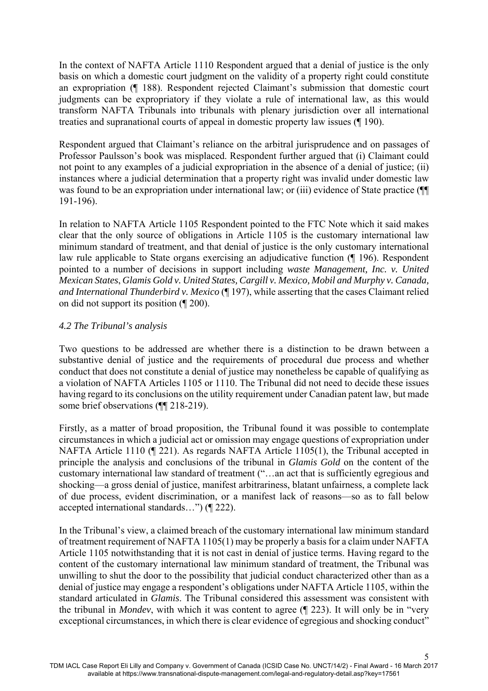In the context of NAFTA Article 1110 Respondent argued that a denial of justice is the only basis on which a domestic court judgment on the validity of a property right could constitute an expropriation (¶ 188). Respondent rejected Claimant's submission that domestic court judgments can be expropriatory if they violate a rule of international law, as this would transform NAFTA Tribunals into tribunals with plenary jurisdiction over all international treaties and supranational courts of appeal in domestic property law issues (¶ 190).

Respondent argued that Claimant's reliance on the arbitral jurisprudence and on passages of Professor Paulsson's book was misplaced. Respondent further argued that (i) Claimant could not point to any examples of a judicial expropriation in the absence of a denial of justice; (ii) instances where a judicial determination that a property right was invalid under domestic law was found to be an expropriation under international law; or (iii) evidence of State practice (¶¶ 191-196).

In relation to NAFTA Article 1105 Respondent pointed to the FTC Note which it said makes clear that the only source of obligations in Article 1105 is the customary international law minimum standard of treatment, and that denial of justice is the only customary international law rule applicable to State organs exercising an adjudicative function (¶ 196). Respondent pointed to a number of decisions in support including *waste Management, Inc. v. United Mexican States*, *Glamis Gold v. United States, Cargill v. Mexico, Mobil and Murphy v. Canada, and International Thunderbird v. Mexico* (¶ 197), while asserting that the cases Claimant relied on did not support its position (¶ 200).

### *4.2 The Tribunal's analysis*

Two questions to be addressed are whether there is a distinction to be drawn between a substantive denial of justice and the requirements of procedural due process and whether conduct that does not constitute a denial of justice may nonetheless be capable of qualifying as a violation of NAFTA Articles 1105 or 1110. The Tribunal did not need to decide these issues having regard to its conclusions on the utility requirement under Canadian patent law, but made some brief observations (¶¶ 218-219).

Firstly, as a matter of broad proposition, the Tribunal found it was possible to contemplate circumstances in which a judicial act or omission may engage questions of expropriation under NAFTA Article 1110 (¶ 221). As regards NAFTA Article 1105(1), the Tribunal accepted in principle the analysis and conclusions of the tribunal in *Glamis Gold* on the content of the customary international law standard of treatment ("…an act that is sufficiently egregious and shocking—a gross denial of justice, manifest arbitrariness, blatant unfairness, a complete lack of due process, evident discrimination, or a manifest lack of reasons—so as to fall below accepted international standards…") (¶ 222).

In the Tribunal's view, a claimed breach of the customary international law minimum standard of treatment requirement of NAFTA 1105(1) may be properly a basis for a claim under NAFTA Article 1105 notwithstanding that it is not cast in denial of justice terms. Having regard to the content of the customary international law minimum standard of treatment, the Tribunal was unwilling to shut the door to the possibility that judicial conduct characterized other than as a denial of justice may engage a respondent's obligations under NAFTA Article 1105, within the standard articulated in *Glamis*. The Tribunal considered this assessment was consistent with the tribunal in *Mondev*, with which it was content to agree (¶ 223). It will only be in "very exceptional circumstances, in which there is clear evidence of egregious and shocking conduct"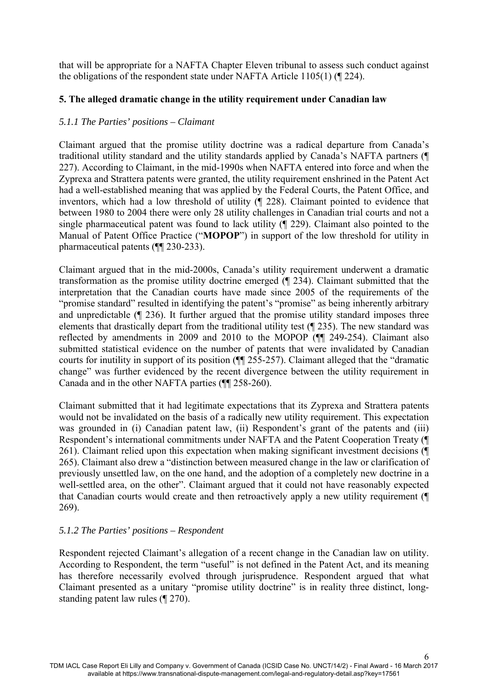that will be appropriate for a NAFTA Chapter Eleven tribunal to assess such conduct against the obligations of the respondent state under NAFTA Article 1105(1) (¶ 224).

### **5. The alleged dramatic change in the utility requirement under Canadian law**

### *5.1.1 The Parties' positions – Claimant*

Claimant argued that the promise utility doctrine was a radical departure from Canada's traditional utility standard and the utility standards applied by Canada's NAFTA partners (¶ 227). According to Claimant, in the mid-1990s when NAFTA entered into force and when the Zyprexa and Strattera patents were granted, the utility requirement enshrined in the Patent Act had a well-established meaning that was applied by the Federal Courts, the Patent Office, and inventors, which had a low threshold of utility (¶ 228). Claimant pointed to evidence that between 1980 to 2004 there were only 28 utility challenges in Canadian trial courts and not a single pharmaceutical patent was found to lack utility (¶ 229). Claimant also pointed to the Manual of Patent Office Practice ("**MOPOP**") in support of the low threshold for utility in pharmaceutical patents (¶¶ 230-233).

Claimant argued that in the mid-2000s, Canada's utility requirement underwent a dramatic transformation as the promise utility doctrine emerged (¶ 234). Claimant submitted that the interpretation that the Canadian courts have made since 2005 of the requirements of the "promise standard" resulted in identifying the patent's "promise" as being inherently arbitrary and unpredictable (¶ 236). It further argued that the promise utility standard imposes three elements that drastically depart from the traditional utility test (¶ 235). The new standard was reflected by amendments in 2009 and 2010 to the MOPOP (¶¶ 249-254). Claimant also submitted statistical evidence on the number of patents that were invalidated by Canadian courts for inutility in support of its position (¶¶ 255-257). Claimant alleged that the "dramatic change" was further evidenced by the recent divergence between the utility requirement in Canada and in the other NAFTA parties (¶¶ 258-260).

Claimant submitted that it had legitimate expectations that its Zyprexa and Strattera patents would not be invalidated on the basis of a radically new utility requirement. This expectation was grounded in (i) Canadian patent law, (ii) Respondent's grant of the patents and (iii) Respondent's international commitments under NAFTA and the Patent Cooperation Treaty (¶ 261). Claimant relied upon this expectation when making significant investment decisions (¶ 265). Claimant also drew a "distinction between measured change in the law or clarification of previously unsettled law, on the one hand, and the adoption of a completely new doctrine in a well-settled area, on the other". Claimant argued that it could not have reasonably expected that Canadian courts would create and then retroactively apply a new utility requirement (¶ 269).

## *5.1.2 The Parties' positions – Respondent*

Respondent rejected Claimant's allegation of a recent change in the Canadian law on utility. According to Respondent, the term "useful" is not defined in the Patent Act, and its meaning has therefore necessarily evolved through jurisprudence. Respondent argued that what Claimant presented as a unitary "promise utility doctrine" is in reality three distinct, longstanding patent law rules (¶ 270).

6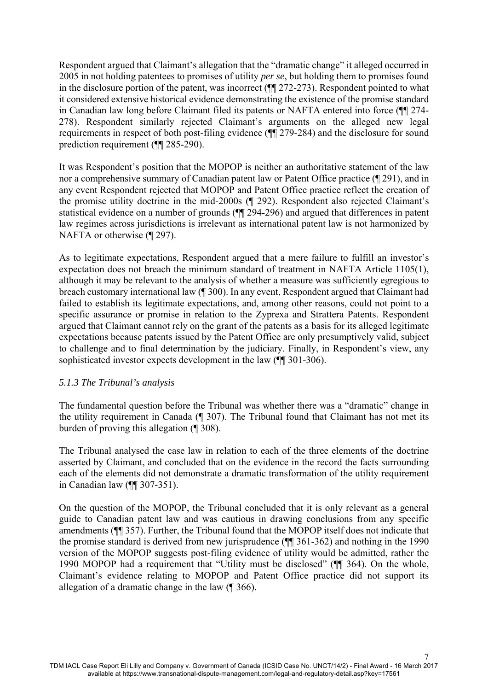Respondent argued that Claimant's allegation that the "dramatic change" it alleged occurred in 2005 in not holding patentees to promises of utility *per se*, but holding them to promises found in the disclosure portion of the patent, was incorrect (¶¶ 272-273). Respondent pointed to what it considered extensive historical evidence demonstrating the existence of the promise standard in Canadian law long before Claimant filed its patents or NAFTA entered into force (¶¶ 274- 278). Respondent similarly rejected Claimant's arguments on the alleged new legal requirements in respect of both post-filing evidence (¶¶ 279-284) and the disclosure for sound prediction requirement (¶¶ 285-290).

It was Respondent's position that the MOPOP is neither an authoritative statement of the law nor a comprehensive summary of Canadian patent law or Patent Office practice (¶ 291), and in any event Respondent rejected that MOPOP and Patent Office practice reflect the creation of the promise utility doctrine in the mid-2000s (¶ 292). Respondent also rejected Claimant's statistical evidence on a number of grounds (¶¶ 294-296) and argued that differences in patent law regimes across jurisdictions is irrelevant as international patent law is not harmonized by NAFTA or otherwise (¶ 297).

As to legitimate expectations, Respondent argued that a mere failure to fulfill an investor's expectation does not breach the minimum standard of treatment in NAFTA Article 1105(1), although it may be relevant to the analysis of whether a measure was sufficiently egregious to breach customary international law (¶ 300). In any event, Respondent argued that Claimant had failed to establish its legitimate expectations, and, among other reasons, could not point to a specific assurance or promise in relation to the Zyprexa and Strattera Patents. Respondent argued that Claimant cannot rely on the grant of the patents as a basis for its alleged legitimate expectations because patents issued by the Patent Office are only presumptively valid, subject to challenge and to final determination by the judiciary. Finally, in Respondent's view, any sophisticated investor expects development in the law ( $\P$ [ 301-306).

## *5.1.3 The Tribunal's analysis*

The fundamental question before the Tribunal was whether there was a "dramatic" change in the utility requirement in Canada (¶ 307). The Tribunal found that Claimant has not met its burden of proving this allegation (¶ 308).

The Tribunal analysed the case law in relation to each of the three elements of the doctrine asserted by Claimant, and concluded that on the evidence in the record the facts surrounding each of the elements did not demonstrate a dramatic transformation of the utility requirement in Canadian law (¶¶ 307-351).

On the question of the MOPOP, the Tribunal concluded that it is only relevant as a general guide to Canadian patent law and was cautious in drawing conclusions from any specific amendments (¶¶ 357). Further, the Tribunal found that the MOPOP itself does not indicate that the promise standard is derived from new jurisprudence (¶¶ 361-362) and nothing in the 1990 version of the MOPOP suggests post-filing evidence of utility would be admitted, rather the 1990 MOPOP had a requirement that "Utility must be disclosed" (¶¶ 364). On the whole, Claimant's evidence relating to MOPOP and Patent Office practice did not support its allegation of a dramatic change in the law (¶ 366).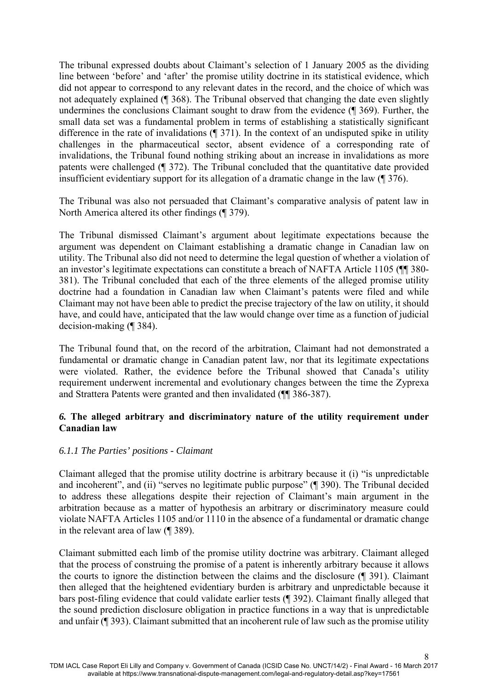The tribunal expressed doubts about Claimant's selection of 1 January 2005 as the dividing line between 'before' and 'after' the promise utility doctrine in its statistical evidence, which did not appear to correspond to any relevant dates in the record, and the choice of which was not adequately explained (¶ 368). The Tribunal observed that changing the date even slightly undermines the conclusions Claimant sought to draw from the evidence (¶ 369). Further, the small data set was a fundamental problem in terms of establishing a statistically significant difference in the rate of invalidations (¶ 371). In the context of an undisputed spike in utility challenges in the pharmaceutical sector, absent evidence of a corresponding rate of invalidations, the Tribunal found nothing striking about an increase in invalidations as more patents were challenged (¶ 372). The Tribunal concluded that the quantitative date provided insufficient evidentiary support for its allegation of a dramatic change in the law (¶ 376).

The Tribunal was also not persuaded that Claimant's comparative analysis of patent law in North America altered its other findings (¶ 379).

The Tribunal dismissed Claimant's argument about legitimate expectations because the argument was dependent on Claimant establishing a dramatic change in Canadian law on utility. The Tribunal also did not need to determine the legal question of whether a violation of an investor's legitimate expectations can constitute a breach of NAFTA Article 1105 (¶¶ 380- 381). The Tribunal concluded that each of the three elements of the alleged promise utility doctrine had a foundation in Canadian law when Claimant's patents were filed and while Claimant may not have been able to predict the precise trajectory of the law on utility, it should have, and could have, anticipated that the law would change over time as a function of judicial decision-making (¶ 384).

The Tribunal found that, on the record of the arbitration, Claimant had not demonstrated a fundamental or dramatic change in Canadian patent law, nor that its legitimate expectations were violated. Rather, the evidence before the Tribunal showed that Canada's utility requirement underwent incremental and evolutionary changes between the time the Zyprexa and Strattera Patents were granted and then invalidated (¶¶ 386-387).

### *6.* **The alleged arbitrary and discriminatory nature of the utility requirement under Canadian law**

#### *6.1.1 The Parties' positions - Claimant*

Claimant alleged that the promise utility doctrine is arbitrary because it (i) "is unpredictable and incoherent", and (ii) "serves no legitimate public purpose" (¶ 390). The Tribunal decided to address these allegations despite their rejection of Claimant's main argument in the arbitration because as a matter of hypothesis an arbitrary or discriminatory measure could violate NAFTA Articles 1105 and/or 1110 in the absence of a fundamental or dramatic change in the relevant area of law (¶ 389).

Claimant submitted each limb of the promise utility doctrine was arbitrary. Claimant alleged that the process of construing the promise of a patent is inherently arbitrary because it allows the courts to ignore the distinction between the claims and the disclosure (¶ 391). Claimant then alleged that the heightened evidentiary burden is arbitrary and unpredictable because it bars post-filing evidence that could validate earlier tests (¶ 392). Claimant finally alleged that the sound prediction disclosure obligation in practice functions in a way that is unpredictable and unfair (¶ 393). Claimant submitted that an incoherent rule of law such as the promise utility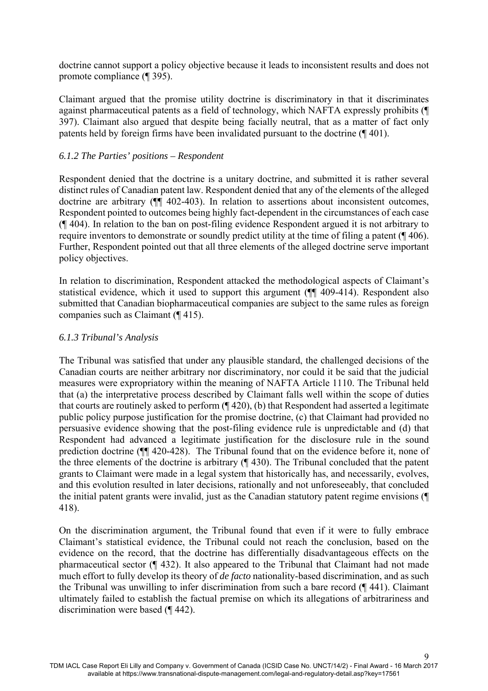doctrine cannot support a policy objective because it leads to inconsistent results and does not promote compliance (¶ 395).

Claimant argued that the promise utility doctrine is discriminatory in that it discriminates against pharmaceutical patents as a field of technology, which NAFTA expressly prohibits (¶ 397). Claimant also argued that despite being facially neutral, that as a matter of fact only patents held by foreign firms have been invalidated pursuant to the doctrine (¶ 401).

#### *6.1.2 The Parties' positions – Respondent*

Respondent denied that the doctrine is a unitary doctrine, and submitted it is rather several distinct rules of Canadian patent law. Respondent denied that any of the elements of the alleged doctrine are arbitrary ( $\P$  402-403). In relation to assertions about inconsistent outcomes, Respondent pointed to outcomes being highly fact-dependent in the circumstances of each case (¶ 404). In relation to the ban on post-filing evidence Respondent argued it is not arbitrary to require inventors to demonstrate or soundly predict utility at the time of filing a patent ( $\P$  406). Further, Respondent pointed out that all three elements of the alleged doctrine serve important policy objectives.

In relation to discrimination, Respondent attacked the methodological aspects of Claimant's statistical evidence, which it used to support this argument (¶¶ 409-414). Respondent also submitted that Canadian biopharmaceutical companies are subject to the same rules as foreign companies such as Claimant (¶ 415).

### *6.1.3 Tribunal's Analysis*

The Tribunal was satisfied that under any plausible standard, the challenged decisions of the Canadian courts are neither arbitrary nor discriminatory, nor could it be said that the judicial measures were expropriatory within the meaning of NAFTA Article 1110. The Tribunal held that (a) the interpretative process described by Claimant falls well within the scope of duties that courts are routinely asked to perform (¶ 420), (b) that Respondent had asserted a legitimate public policy purpose justification for the promise doctrine, (c) that Claimant had provided no persuasive evidence showing that the post-filing evidence rule is unpredictable and (d) that Respondent had advanced a legitimate justification for the disclosure rule in the sound prediction doctrine (¶¶ 420-428). The Tribunal found that on the evidence before it, none of the three elements of the doctrine is arbitrary (¶ 430). The Tribunal concluded that the patent grants to Claimant were made in a legal system that historically has, and necessarily, evolves, and this evolution resulted in later decisions, rationally and not unforeseeably, that concluded the initial patent grants were invalid, just as the Canadian statutory patent regime envisions (¶ 418).

On the discrimination argument, the Tribunal found that even if it were to fully embrace Claimant's statistical evidence, the Tribunal could not reach the conclusion, based on the evidence on the record, that the doctrine has differentially disadvantageous effects on the pharmaceutical sector (¶ 432). It also appeared to the Tribunal that Claimant had not made much effort to fully develop its theory of *de facto* nationality-based discrimination, and as such the Tribunal was unwilling to infer discrimination from such a bare record (¶ 441). Claimant ultimately failed to establish the factual premise on which its allegations of arbitrariness and discrimination were based (¶ 442).